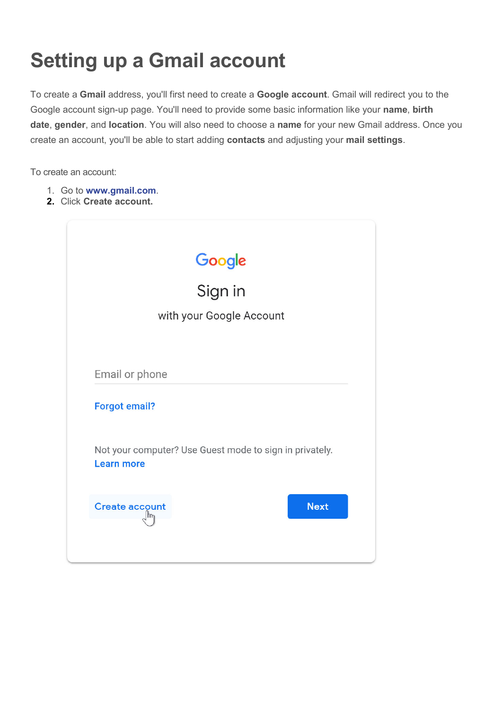# **Setting up a Gmail account**

To create a **Gmail** address, you'll first need to create a **Google account**. Gmail will redirect you to the Google account sign-up page. You'll need to provide some basic information like your **name**, **birth date**, **gender**, and **location**. You will also need to choose a **name** for your new Gmail address. Once you create an account, you'll be able to start adding **contacts** and adjusting your **mail settings**.

To create an account:

- 1. Go to **[www.gmail.com](http://www.gmail.com/)**.
- **2.** Click **Create account.**

|                          | Google<br>Sign in                                       |  |
|--------------------------|---------------------------------------------------------|--|
| with your Google Account |                                                         |  |
|                          |                                                         |  |
| Email or phone           |                                                         |  |
| <b>Forgot email?</b>     |                                                         |  |
| <b>Learn more</b>        | Not your computer? Use Guest mode to sign in privately. |  |
|                          |                                                         |  |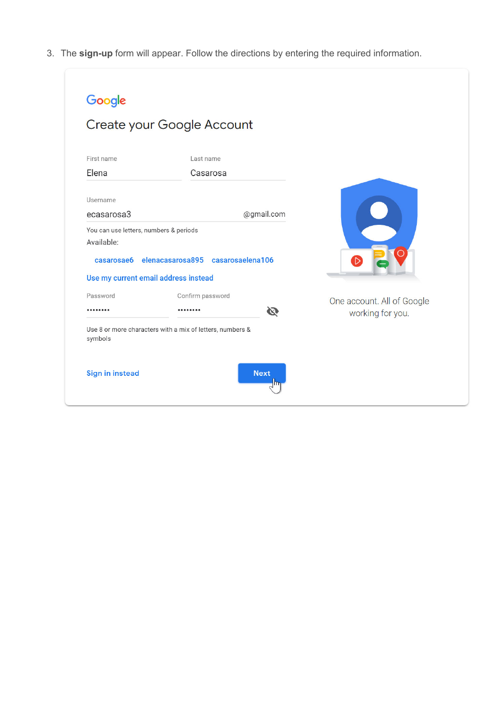3. The **sign-up** form will appear. Follow the directions by entering the required information.

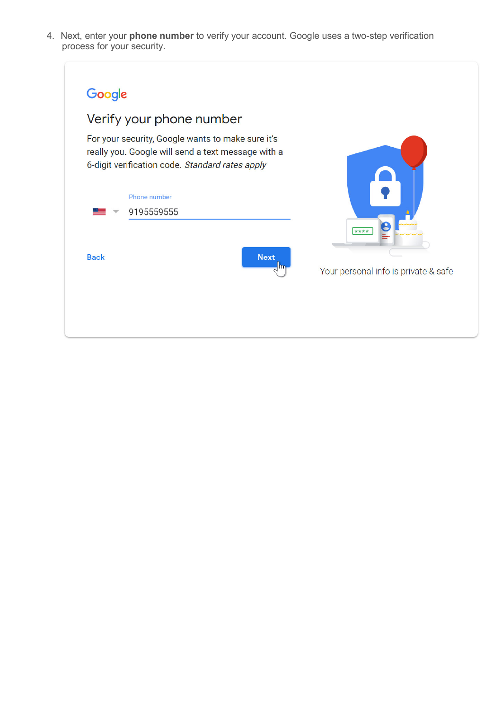4. Next, enter your **phone number** to verify your account. Google uses a two-step verification process for your security.

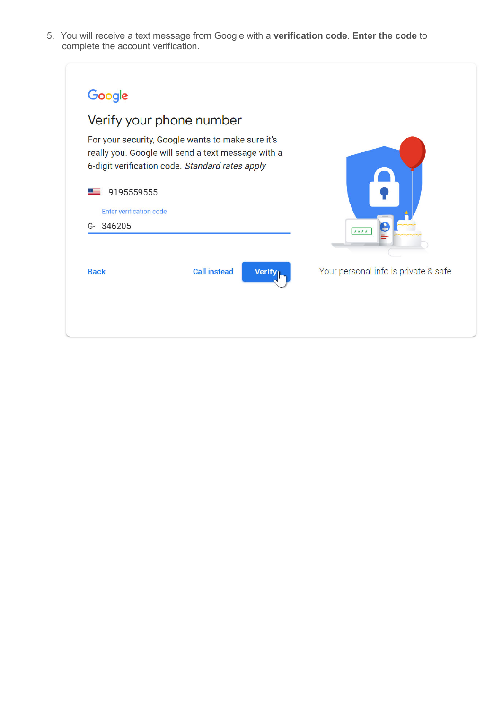5. You will receive a text message from Google with a **verification code**. **Enter the code** to complete the account verification.

| For your security, Google wants to make sure it's<br>really you. Google will send a text message with a<br>6-digit verification code. Standard rates apply<br>9195559555 |  |
|--------------------------------------------------------------------------------------------------------------------------------------------------------------------------|--|
|                                                                                                                                                                          |  |
|                                                                                                                                                                          |  |
| <b>Enter verification code</b>                                                                                                                                           |  |
| 346205<br>G-<br>$****$                                                                                                                                                   |  |
|                                                                                                                                                                          |  |
| Your personal info is private & safe<br><b>Call instead</b><br><b>Back</b><br><b>Verify</b><br>m                                                                         |  |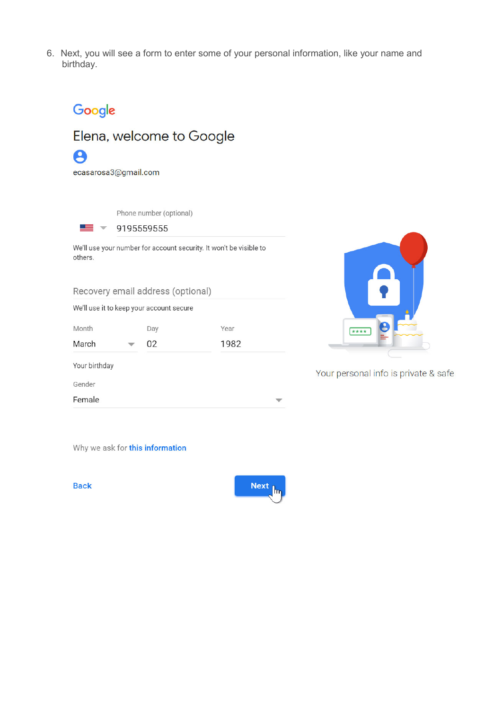6. Next, you will see a form to enter some of your personal information, like your name and birthday.





Your personal info is private & safe

Why we ask for this information

**Back** 

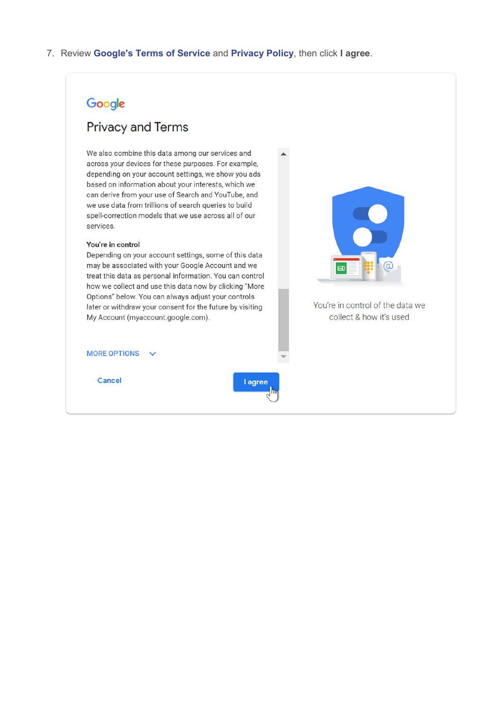#### 7. Review **[Google's](http://www.google.com/intl/en/policies/terms/) Terms of Service** and **[Privacy](http://www.google.com/intl/en/policies/privacy/) Policy**, then click **I agree**.

#### Google

### **Privacy and Terms**

We also combine this data among our services and across your devices for these purposes. For example, depending on your account settings, we show you ads based on information about your interests, which we can derive from your use of Search and YouTube, and we use data from trillions of search queries to build spell-correction models that we use across all of our services.

#### You're in control

Depending on your account settings, some of this data may be associated with your Google Account and we treat this data as personal information. You can control how we collect and use this data now by clicking "More Options" below. You can always adjust your controls later or withdraw your consent for the future by visiting My Account (myaccount.google.com).



You're in control of the data we collect & how it's used

MORE OPTIONS V



Cancel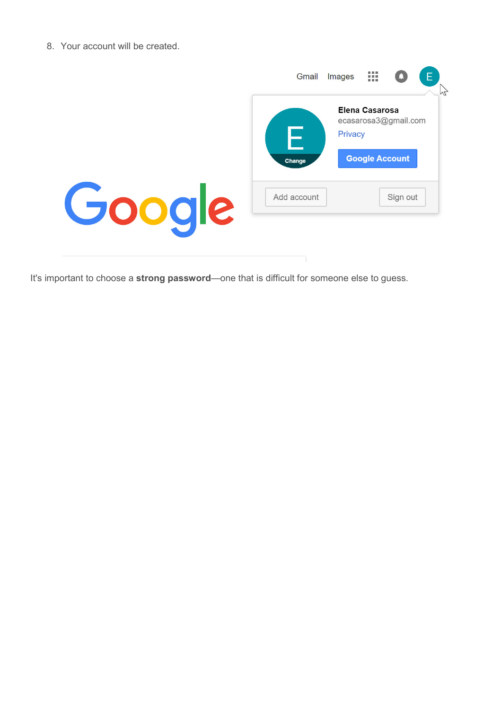8. Your account will be created.

|        | Gmail                                                                                            | Images | m        | M |
|--------|--------------------------------------------------------------------------------------------------|--------|----------|---|
|        | <b>Elena Casarosa</b><br>ecasarosa3@gmail.com<br>F<br>Privacy<br><b>Google Account</b><br>Change |        |          |   |
| Google | Add account                                                                                      |        | Sign out |   |
|        |                                                                                                  |        |          |   |

It's important to choose a **strong password**—one that is difficult for someone else to guess.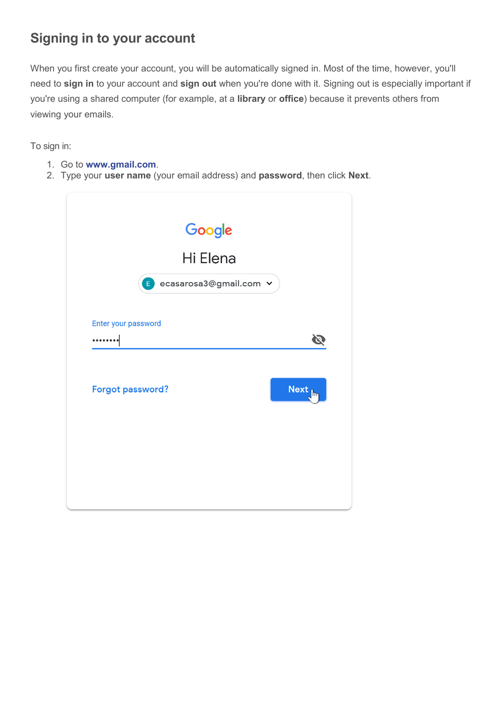# **Signing in to your account**

When you first create your account, you will be automatically signed in. Most of the time, however, you'll need to **sign in** to your account and **sign out** when you're done with it. Signing out is especially important if you're using a shared computer (for example, at a **library** or **office**) because it prevents others from viewing your emails.

To sign in:

- 1. Go to **[www.gmail.com](http://www.gmail.com/)**.
- 2. Type your **user name** (your email address) and **password**, then click **Next**.

|                     | Hi Elena               |         |
|---------------------|------------------------|---------|
| $\mathbf{E}$        | ecasarosa3@gmail.com v |         |
| Enter your password |                        |         |
|                     |                        |         |
| Forgot password?    |                        | Next Im |
|                     |                        |         |
|                     |                        |         |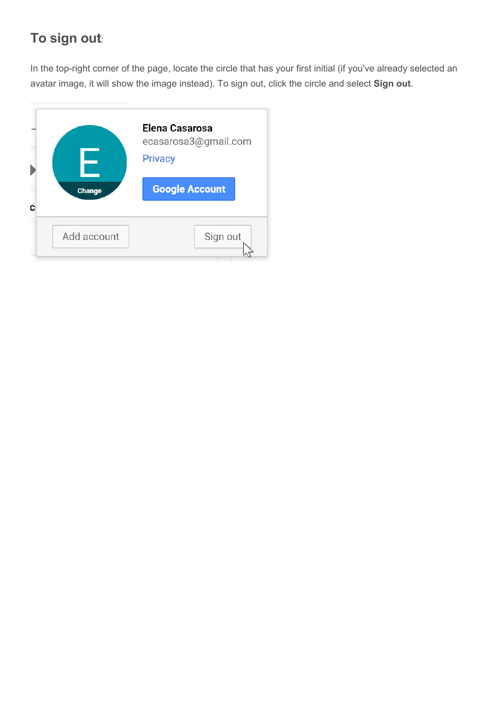# **To sign out**:

In the top-right corner of the page, locate the circle that has your first initial (if you've already selected an avatar image, it will show the image instead). To sign out, click the circle and select **Sign out**.

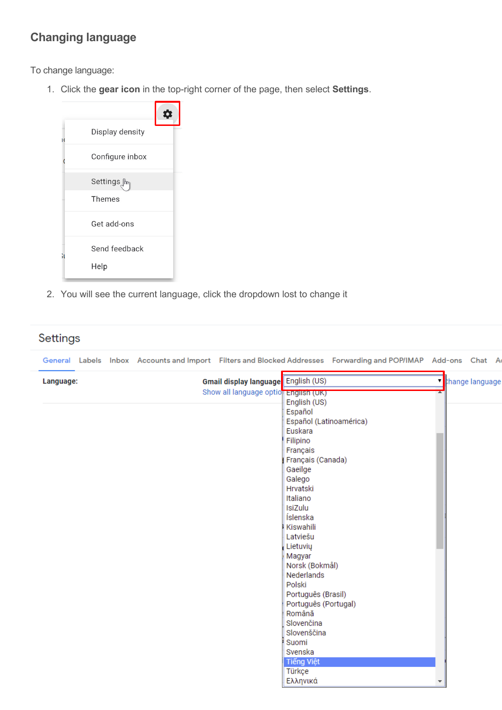### **Changing language**

To change language:

1. Click the **gear icon** in the top-right corner of the page, then select **Settings**.



2. You will see the current language, click the dropdown lost to change it

#### Settings

| Language: | Gmail display language English (US)   | v <b>h</b> ange language |
|-----------|---------------------------------------|--------------------------|
|           | Show all language option English (UK) |                          |
|           | English (US)                          |                          |
|           | Español                               |                          |
|           | Español (Latinoamérica)               |                          |
|           | Euskara                               |                          |
|           | Filipino                              |                          |
|           | Français                              |                          |
|           | Français (Canada)                     |                          |
|           | Gaeilge                               |                          |
|           | Galego                                |                          |
|           | Hrvatski                              |                          |
|           | Italiano                              |                          |
|           | IsiZulu                               |                          |
|           | Íslenska                              |                          |
|           | Kiswahili                             |                          |
|           | Latviešu                              |                          |
|           | Lietuvių                              |                          |
|           | Magyar                                |                          |
|           | Norsk (Bokmål)                        |                          |
|           | Nederlands                            |                          |
|           | Polski                                |                          |
|           | Português (Brasil)                    |                          |
|           | Português (Portugal)                  |                          |
|           | Română                                |                          |
|           | Slovenčina                            |                          |
|           | Slovenščina                           |                          |
|           | Suomi                                 |                          |
|           | Svenska                               |                          |
|           | <b>Tiếng Việt</b>                     |                          |
|           | Türkçe                                |                          |
|           | Ελληνικά                              |                          |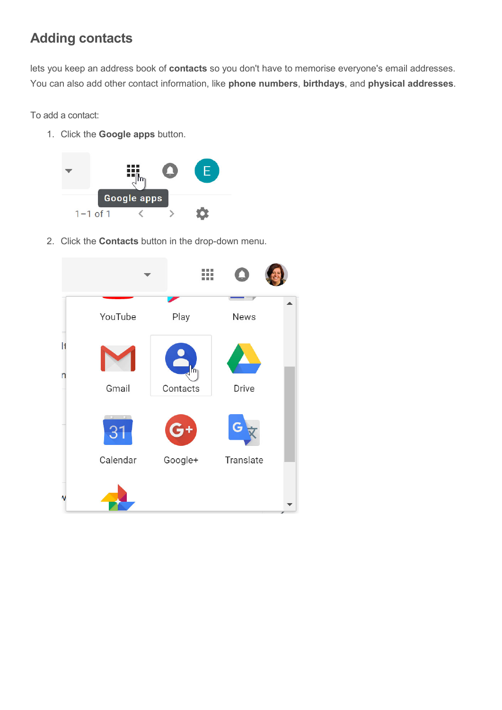# **Adding contacts**

lets you keep an address book of **contacts** so you don't have to memorise everyone's email addresses. You can also add other contact information, like **phone numbers**, **birthdays**, and **physical addresses**.

To add a contact:

1. Click the **Google apps** button.



2. Click the **Contacts** button in the drop-down menu.

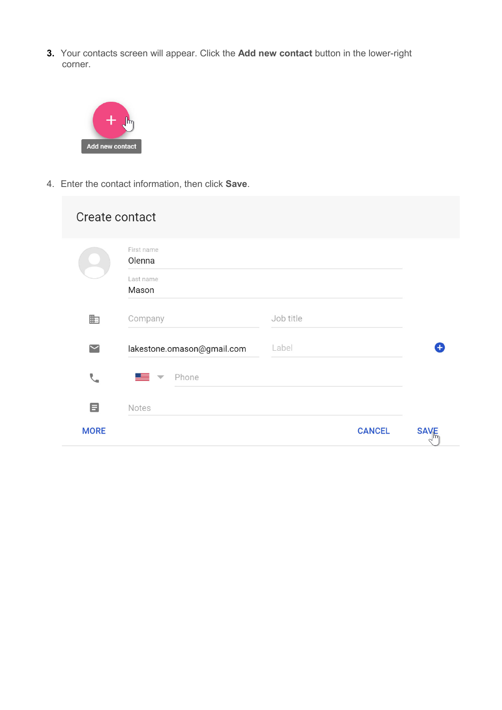**3.** Your contacts screen will appear. Click the **Add new contact** button in the lower-right corner.



4. Enter the contact information, then click **Save**.

| Create contact       |                                   |               |                  |
|----------------------|-----------------------------------|---------------|------------------|
|                      | First name<br>Olenna<br>Last name |               |                  |
|                      | Mason                             |               |                  |
| 匭                    | Company                           | Job title     |                  |
| $\blacktriangledown$ | lakestone.omason@gmail.com        | Label         |                  |
| $\mathcal{L}$        | Phone<br>▀▀▘▝                     |               |                  |
| 目                    | Notes                             |               |                  |
| <b>MORE</b>          |                                   | <b>CANCEL</b> | <b>SAVE</b><br>m |